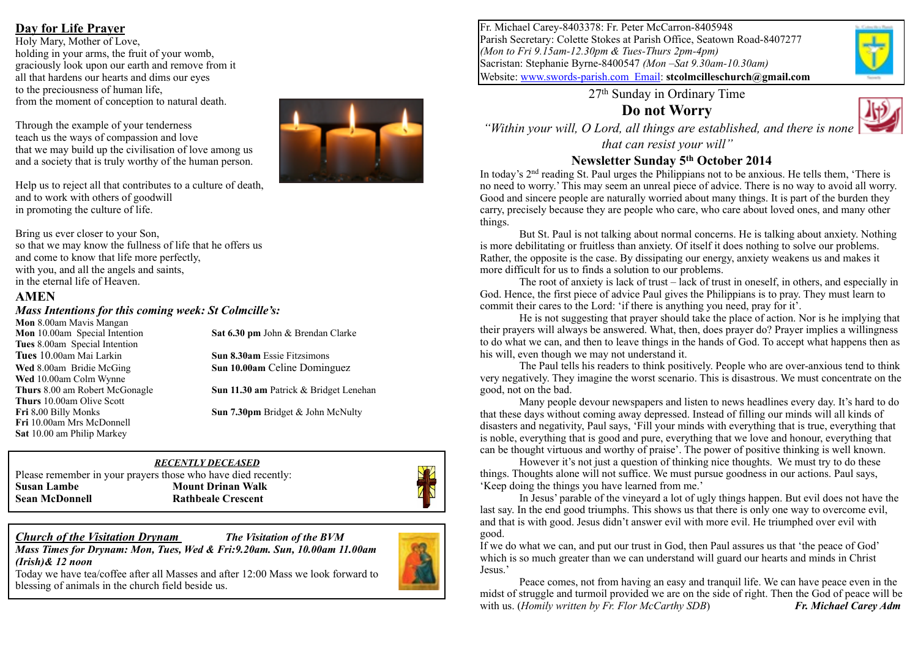## **Day for Life Prayer**

Holy Mary, Mother of Love, holding in your arms, the fruit of your womb, graciously look upon our earth and remove from it all that hardens our hearts and dims our eyes to the preciousness of human life, from the moment of conception to natural death.

Through the example of your tenderness teach us the ways of compassion and love that we may build up the civilisation of love among us and a society that is truly worthy of the human person.

Help us to reject all that contributes to a culture of death, and to work with others of goodwill in promoting the culture of life.

Bring us ever closer to your Son, so that we may know the fullness of life that he offers us and come to know that life more perfectly, with you, and all the angels and saints, in the eternal life of Heaven.

#### **AMEN**

#### *Mass Intentions for this coming week: St Colmcille's:*

**Mon** 8.00am Mavis Mangan **Tues** 8.00am Special Intention **Tues** 10.00am Mai Larkin **Sun 8.30am** Essie Fitzsimons **Wed** 10.00am Colm Wynne **Thurs** 10.00am Olive Scott **Fri** 10.00am Mrs McDonnell **Sat** 10.00 am Philip Markey

**Mon** 10.00am Special Intention **Sat 6.30 pm** John & Brendan Clarke

**Wed** 8.00am Bridie McGing **Sun 10.00am** Celine Dominguez

**Thurs** 8.00 am Robert McGonagle **Sun 11.30 am** Patrick & Bridget Lenehan

**Fri** 8.00 Billy Monks **Sun 7.30pm** Bridget & John McNulty

#### Please remember in your prayers those who have died recently: **Susan Lambe Mount Drinan Walk Sean McDonnell Rathbeale Crescent**



*Mass Times for Drynam: Mon, Tues, Wed & Fri:9.20am. Sun, 10.00am 11.00am (Irish)& 12 noon* 

*RECENTLY DECEASED* 

Today we have tea/coffee after all Masses and after 12:00 Mass we look forward to blessing of animals in the church field beside us.



Fr. Michael Carey-8403378: Fr. Peter McCarron-8405948 Parish Secretary: Colette Stokes at Parish Office, Seatown Road-8407277 *(Mon to Fri 9.15am-12.30pm & Tues-Thurs 2pm-4pm)* Sacristan: Stephanie Byrne-8400547 *(Mon –Sat 9.30am-10.30am)* Website: [www.swords-parish.com Email:](http://www.swords-parish.com%20%20email) **stcolmcilleschurch@gmail.com**

27th Sunday in Ordinary Time

**Do not Worry** 



 *"Within your will, O Lord, all things are established, and there is none that can resist your will"* 

#### **Newsletter Sunday 5th October 2014**

In today's 2<sup>nd</sup> reading St. Paul urges the Philippians not to be anxious. He tells them, 'There is no need to worry.' This may seem an unreal piece of advice. There is no way to avoid all worry. Good and sincere people are naturally worried about many things. It is part of the burden they carry, precisely because they are people who care, who care about loved ones, and many other things.

But St. Paul is not talking about normal concerns. He is talking about anxiety. Nothing is more debilitating or fruitless than anxiety. Of itself it does nothing to solve our problems. Rather, the opposite is the case. By dissipating our energy, anxiety weakens us and makes it more difficult for us to finds a solution to our problems.

The root of anxiety is lack of trust – lack of trust in oneself, in others, and especially in God. Hence, the first piece of advice Paul gives the Philippians is to pray. They must learn to commit their cares to the Lord: 'if there is anything you need, pray for it'.

He is not suggesting that prayer should take the place of action. Nor is he implying that their prayers will always be answered. What, then, does prayer do? Prayer implies a willingness to do what we can, and then to leave things in the hands of God. To accept what happens then as his will, even though we may not understand it.

The Paul tells his readers to think positively. People who are over-anxious tend to think very negatively. They imagine the worst scenario. This is disastrous. We must concentrate on the good, not on the bad.

Many people devour newspapers and listen to news headlines every day. It's hard to do that these days without coming away depressed. Instead of filling our minds will all kinds of disasters and negativity, Paul says, 'Fill your minds with everything that is true, everything that is noble, everything that is good and pure, everything that we love and honour, everything that can be thought virtuous and worthy of praise'. The power of positive thinking is well known.

However it's not just a question of thinking nice thoughts. We must try to do these things. Thoughts alone will not suffice. We must pursue goodness in our actions. Paul says, 'Keep doing the things you have learned from me.'

In Jesus' parable of the vineyard a lot of ugly things happen. But evil does not have the last say. In the end good triumphs. This shows us that there is only one way to overcome evil, and that is with good. Jesus didn't answer evil with more evil. He triumphed over evil with good.

If we do what we can, and put our trust in God, then Paul assures us that 'the peace of God' which is so much greater than we can understand will guard our hearts and minds in Christ Jesus.'

Peace comes, not from having an easy and tranquil life. We can have peace even in the midst of struggle and turmoil provided we are on the side of right. Then the God of peace will be with us. (*Homily written by Fr. Flor McCarthy SDB*) *Fr. Michael Carey Adm*